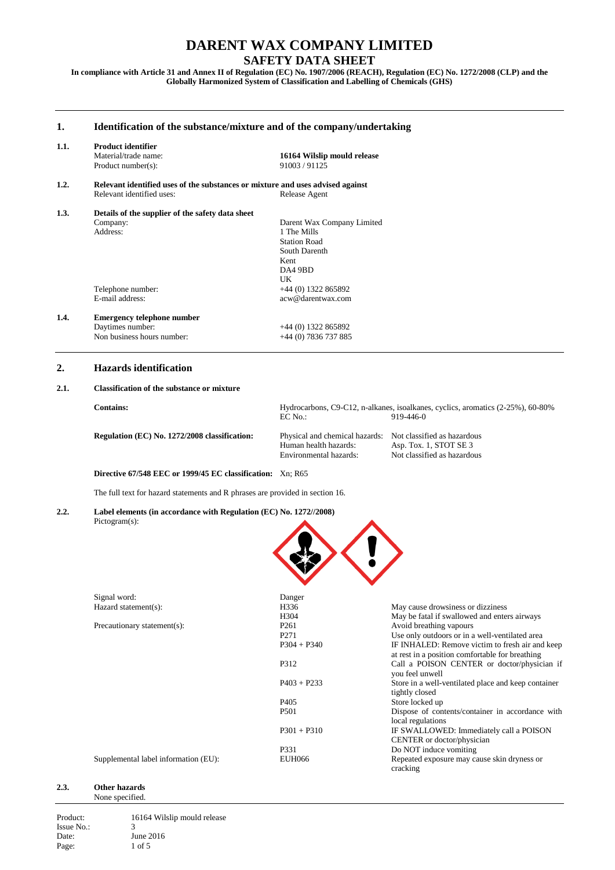# **SAFETY DATA SHEET**

**In compliance with Article 31 and Annex II of Regulation (EC) No. 1907/2006 (REACH), Regulation (EC) No. 1272/2008 (CLP) and the Globally Harmonized System of Classification and Labelling of Chemicals (GHS)**

## **1. Identification of the substance/mixture and of the company/undertaking 1.1. Product identifier 16164 Wilslip mould release**<br>91003/91125 Product number( $s$ ): **1.2. Relevant identified uses of the substances or mixture and uses advised against** Relevant identified uses: **Release Agent** Relevant identified uses: **1.3. Details of the supplier of the safety data sheet** Company: Darent Wax Company Limited 1 The Mills Station Road South Darenth Kent DA4 9BD UK Telephone number:  $+44$  (0) 1322 865892<br>E-mail address:  $a \propto \omega \omega$  academic accomacw@darentwax.com **1.4. Emergency telephone number**  $+44$  (0) 1322 865892<br>+44 (0) 7836 737 885 Non business hours number:

## **2. Hazards identification**

#### **2.1. Classification of the substance or mixture**

| <b>Contains:</b>                              | EC No.:                                                    | Hydrocarbons, C9-C12, n-alkanes, isoalkanes, cyclics, aromatics (2-25%), 60-80%<br>919-446-0 |
|-----------------------------------------------|------------------------------------------------------------|----------------------------------------------------------------------------------------------|
| Regulation (EC) No. 1272/2008 classification: | Physical and chemical hazards: Not classified as hazardous |                                                                                              |
|                                               | Human health hazards:                                      | Asp. Tox. 1, STOT $SE$ 3                                                                     |
|                                               | Environmental hazards:                                     | Not classified as hazardous                                                                  |

**Directive 67/548 EEC or 1999/45 EC classification:** Xn; R65

The full text for hazard statements and R phrases are provided in section 16.

**2.2. Label elements (in accordance with Regulation (EC) No. 1272//2008)** Pictogram(s):



| Signal word:                         | Danger           |                                                         |
|--------------------------------------|------------------|---------------------------------------------------------|
| Hazard statement(s):                 | H336             | May cause drowsiness or dizziness                       |
|                                      | H <sub>304</sub> | May be fatal if swallowed and enters airways            |
| Precautionary statement(s):          | P <sub>261</sub> | Avoid breathing vapours                                 |
|                                      | P <sub>271</sub> | Use only outdoors or in a well-ventilated area          |
|                                      | $P304 + P340$    | IF INHALED: Remove victim to fresh air and keep         |
|                                      |                  | at rest in a position comfortable for breathing         |
|                                      | P312             | Call a POISON CENTER or doctor/physician if             |
|                                      |                  | you feel unwell                                         |
|                                      | $P403 + P233$    | Store in a well-ventilated place and keep container     |
|                                      |                  | tightly closed                                          |
|                                      | P <sub>405</sub> | Store locked up                                         |
|                                      | P <sub>501</sub> | Dispose of contents/container in accordance with        |
|                                      |                  | local regulations                                       |
|                                      | $P301 + P310$    | IF SWALLOWED: Immediately call a POISON                 |
|                                      |                  | CENTER or doctor/physician                              |
|                                      | P331             | Do NOT induce vomiting                                  |
| Supplemental label information (EU): | EUH066           | Repeated exposure may cause skin dryness or<br>cracking |

#### **2.3. Other hazards** None specified.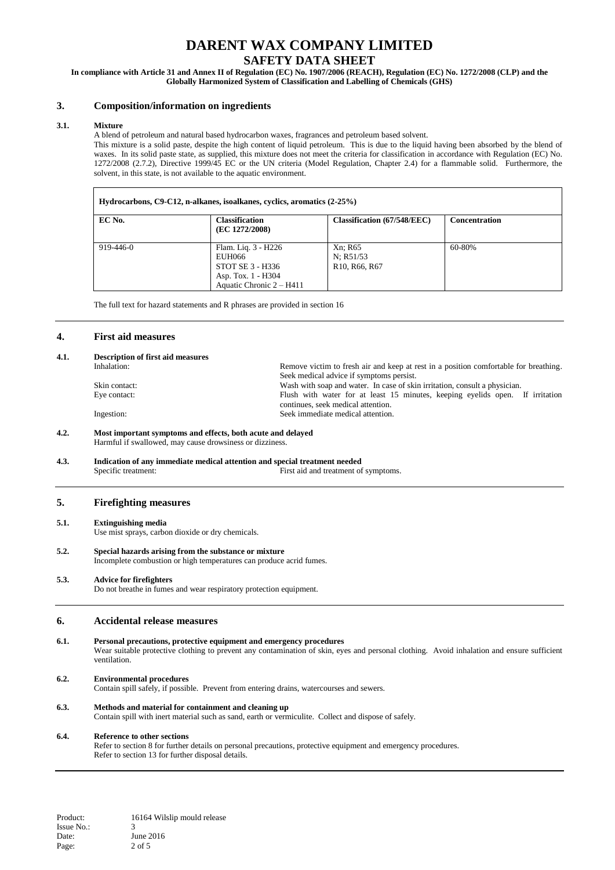# **SAFETY DATA SHEET**

**In compliance with Article 31 and Annex II of Regulation (EC) No. 1907/2006 (REACH), Regulation (EC) No. 1272/2008 (CLP) and the Globally Harmonized System of Classification and Labelling of Chemicals (GHS)**

### **3. Composition/information on ingredients**

#### **3.1. Mixture**

A blend of petroleum and natural based hydrocarbon waxes, fragrances and petroleum based solvent.

This mixture is a solid paste, despite the high content of liquid petroleum. This is due to the liquid having been absorbed by the blend of waxes. In its solid paste state, as supplied, this mixture does not meet the criteria for classification in accordance with Regulation (EC) No. 1272/2008 (2.7.2), Directive 1999/45 EC or the UN criteria (Model Regulation, Chapter 2.4) for a flammable solid. Furthermore, the solvent, in this state, is not available to the aquatic environment.

| Hydrocarbons, C9-C12, n-alkanes, isoalkanes, cyclics, aromatics (2-25%) |                                                                                                     |                                                                             |                      |
|-------------------------------------------------------------------------|-----------------------------------------------------------------------------------------------------|-----------------------------------------------------------------------------|----------------------|
| EC No.                                                                  | <b>Classification</b><br>(EC 1272/2008)                                                             | <b>Classification (67/548/EEC)</b>                                          | <b>Concentration</b> |
| $919 - 446 - 0$                                                         | Flam. Liq. 3 - H226<br>EUH066<br>STOT SE 3 - H336<br>Asp. Tox. 1 - H304<br>Aquatic Chronic 2 – H411 | Xn: R65<br>N: R51/53<br>R <sub>10</sub> , R <sub>66</sub> , R <sub>67</sub> | 60-80%               |

The full text for hazard statements and R phrases are provided in section 16

#### **4. First aid measures**

#### **4.1. Description of first aid measures** Remove victim to fresh air and keep at rest in a position comfortable for breathing. Seek medical advice if symptoms persist. Skin contact:<br>
Eve contact:<br>
Eve contact:<br>
Eve contact:<br>
Eve contact:<br>
Eve contact:<br>
Eve contact:<br>
Eve contact:<br>
Eve contact: Flush with water for at least 15 minutes, keeping eyelids open. If irritation continues, seek medical attention. Ingestion: Seek immediate medical attention.

#### **4.2. Most important symptoms and effects, both acute and delayed** Harmful if swallowed, may cause drowsiness or dizziness.

# **4.3. Indication of any immediate medical attention and special treatment needed** Specific treatment: First aid and treatment of

First aid and treatment of symptoms.

#### **5. Firefighting measures**

#### **5.1. Extinguishing media**

Use mist sprays, carbon dioxide or dry chemicals.

#### **5.2. Special hazards arising from the substance or mixture** Incomplete combustion or high temperatures can produce acrid fumes.

#### **5.3. Advice for firefighters**

Do not breathe in fumes and wear respiratory protection equipment.

#### **6. Accidental release measures**

**6.1. Personal precautions, protective equipment and emergency procedures** Wear suitable protective clothing to prevent any contamination of skin, eyes and personal clothing. Avoid inhalation and ensure sufficient ventilation.

#### **6.2. Environmental procedures**

Contain spill safely, if possible. Prevent from entering drains, watercourses and sewers.

#### **6.3. Methods and material for containment and cleaning up**

Contain spill with inert material such as sand, earth or vermiculite. Collect and dispose of safely.

#### **6.4. Reference to other sections**

Refer to section 8 for further details on personal precautions, protective equipment and emergency procedures. Refer to section 13 for further disposal details.

Product: 16164 Wilslip mould release Issue No.: 3 Date: June 2016 Page: 2 of 5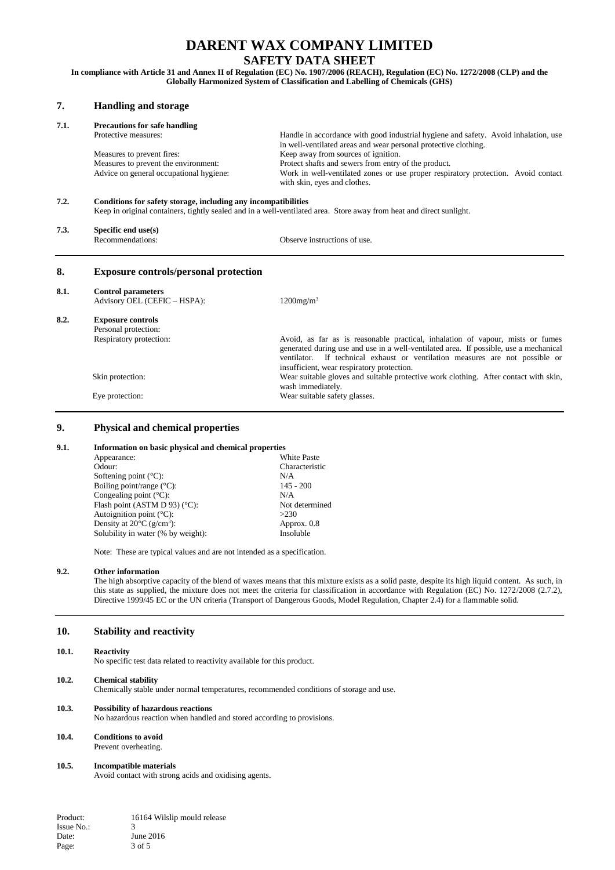## **SAFETY DATA SHEET**

**In compliance with Article 31 and Annex II of Regulation (EC) No. 1907/2006 (REACH), Regulation (EC) No. 1272/2008 (CLP) and the Globally Harmonized System of Classification and Labelling of Chemicals (GHS)**

| 7.   | <b>Handling and storage</b>                                    |                                                                                                                                                                                                                                                                                                          |  |  |
|------|----------------------------------------------------------------|----------------------------------------------------------------------------------------------------------------------------------------------------------------------------------------------------------------------------------------------------------------------------------------------------------|--|--|
| 7.1. | <b>Precautions for safe handling</b>                           |                                                                                                                                                                                                                                                                                                          |  |  |
|      | Protective measures:                                           | Handle in accordance with good industrial hygiene and safety. Avoid inhalation, use<br>in well-ventilated areas and wear personal protective clothing.                                                                                                                                                   |  |  |
|      | Measures to prevent fires:                                     | Keep away from sources of ignition.                                                                                                                                                                                                                                                                      |  |  |
|      | Measures to prevent the environment:                           | Protect shafts and sewers from entry of the product.                                                                                                                                                                                                                                                     |  |  |
|      | Advice on general occupational hygiene:                        | Work in well-ventilated zones or use proper respiratory protection. Avoid contact<br>with skin, eyes and clothes.                                                                                                                                                                                        |  |  |
| 7.2. | Conditions for safety storage, including any incompatibilities |                                                                                                                                                                                                                                                                                                          |  |  |
|      |                                                                | Keep in original containers, tightly sealed and in a well-ventilated area. Store away from heat and direct sunlight.                                                                                                                                                                                     |  |  |
| 7.3. | Specific end use(s)                                            |                                                                                                                                                                                                                                                                                                          |  |  |
|      | Recommendations:                                               | Observe instructions of use.                                                                                                                                                                                                                                                                             |  |  |
| 8.   | <b>Exposure controls/personal protection</b>                   |                                                                                                                                                                                                                                                                                                          |  |  |
| 8.1. | <b>Control parameters</b>                                      |                                                                                                                                                                                                                                                                                                          |  |  |
|      | Advisory OEL (CEFIC - HSPA):                                   | $1200$ mg/m <sup>3</sup>                                                                                                                                                                                                                                                                                 |  |  |
| 8.2. | <b>Exposure controls</b>                                       |                                                                                                                                                                                                                                                                                                          |  |  |
|      | Personal protection:                                           |                                                                                                                                                                                                                                                                                                          |  |  |
|      | Respiratory protection:                                        | Avoid, as far as is reasonable practical, inhalation of vapour, mists or fumes<br>generated during use and use in a well-ventilated area. If possible, use a mechanical<br>If technical exhaust or ventilation measures are not possible or<br>ventilator.<br>insufficient, wear respiratory protection. |  |  |
|      | Skin protection:                                               | Wear suitable gloves and suitable protective work clothing. After contact with skin,<br>wash immediately.                                                                                                                                                                                                |  |  |
|      | Eye protection:                                                | Wear suitable safety glasses.                                                                                                                                                                                                                                                                            |  |  |

# **9. Physical and chemical properties**

#### **9.1. Information on basic physical and chemical properties**

| Appearance:                                     | <b>White Paste</b> |
|-------------------------------------------------|--------------------|
| Odour:                                          | Characteristic     |
| Softening point $(^{\circ}C)$ :                 | N/A                |
| Boiling point/range $(^{\circ}C)$ :             | $145 - 200$        |
| Congealing point $(^{\circ}C)$ :                | N/A                |
| Flash point (ASTM D 93) ( $^{\circ}$ C):        | Not determined     |
| Autoignition point $(^{\circ}C)$ :              | >230               |
| Density at $20^{\circ}$ C (g/cm <sup>3</sup> ): | Approx. 0.8        |
| Solubility in water (% by weight):              | Insoluble          |
|                                                 |                    |

Note: These are typical values and are not intended as a specification.

#### **9.2. Other information**

The high absorptive capacity of the blend of waxes means that this mixture exists as a solid paste, despite its high liquid content. As such, in this state as supplied, the mixture does not meet the criteria for classification in accordance with Regulation (EC) No. 1272/2008 (2.7.2), Directive 1999/45 EC or the UN criteria (Transport of Dangerous Goods, Model Regulation, Chapter 2.4) for a flammable solid.

#### **10. Stability and reactivity**

#### **10.1. Reactivity**

No specific test data related to reactivity available for this product.

#### **10.2. Chemical stability**

Chemically stable under normal temperatures, recommended conditions of storage and use.

#### **10.3. Possibility of hazardous reactions**

No hazardous reaction when handled and stored according to provisions.

#### **10.4. Conditions to avoid**

Prevent overheating.

#### **10.5. Incompatible materials**

Avoid contact with strong acids and oxidising agents.

Product: 16164 Wilslip mould release Issue No.: 3 Date: June 2016 Page: 3 of 5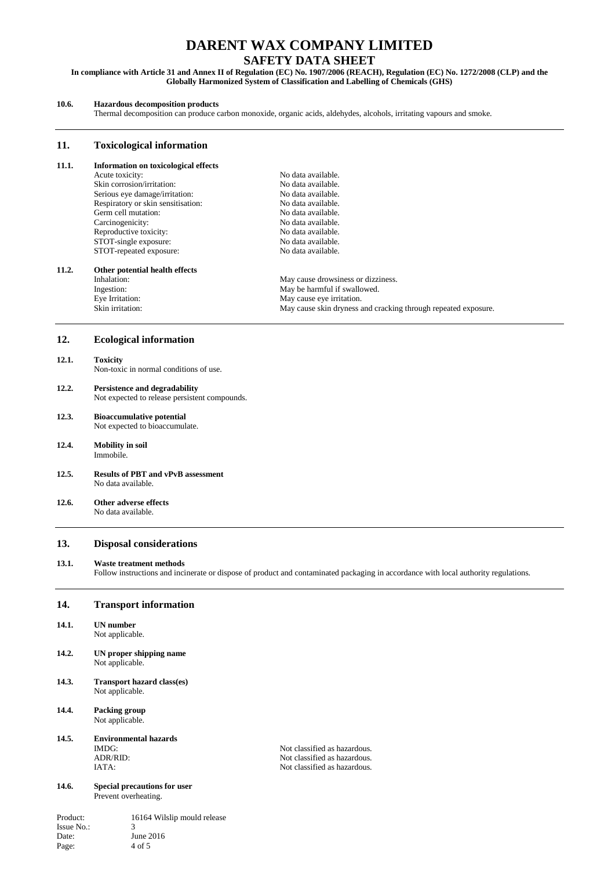## **SAFETY DATA SHEET**

**In compliance with Article 31 and Annex II of Regulation (EC) No. 1907/2006 (REACH), Regulation (EC) No. 1272/2008 (CLP) and the Globally Harmonized System of Classification and Labelling of Chemicals (GHS)**

#### **10.6. Hazardous decomposition products**

Thermal decomposition can produce carbon monoxide, organic acids, aldehydes, alcohols, irritating vapours and smoke.

#### **11. Toxicological information**

# **11.1. Information on toxicological effects**<br>Acute toxicity:

Skin corrosion/irritation: No data available.<br>
Serious eye damage/irritation: No data available. Serious eye damage/irritation: No data available.<br>
Respiratory or skin sensitisation: No data available. Respiratory or skin sensitisation: No data available.<br>
No data available.<br>
No data available. Germ cell mutation:<br>
Carcinogenicity: No data available.<br>
No data available. Carcinogenicity:<br>
Reproductive toxicity:<br>
No data available.<br>
No data available. Reproductive toxicity:<br>
STOT-single exposure:<br>
No data available. STOT-single exposure: STOT-repeated exposure: No data available.

No data available.<br>No data available.

# **11.2. Other potential health effects**

Eye Irritation: May cause eye irritation.<br>
Skin irritation: May cause skin dryness and May cause skin dryness and May cause skin dryness and May cause in the May cause skin dryness and May cause skin dryness and May cause

Inhalation: May cause drowsiness or dizziness.<br>
May be harmful if swallowed. Ingestion: May be harmful if swallowed.<br>Eye Irritation: May cause eye irritation. May cause skin dryness and cracking through repeated exposure.

#### **12. Ecological information**

# **12.1. Toxicity**

Non-toxic in normal conditions of use.

## **12.2. Persistence and degradability**

Not expected to release persistent compounds.

# **12.3. Bioaccumulative potential**

Not expected to bioaccumulate.

- **12.4. Mobility in soil** Immobile.
- **12.5. Results of PBT and vPvB assessment** No data available.

#### **12.6. Other adverse effects** No data available.

#### **13. Disposal considerations**

#### **13.1. Waste treatment methods**

Follow instructions and incinerate or dispose of product and contaminated packaging in accordance with local authority regulations.

#### **14. Transport information**

- **14.1. UN number** Not applicable.
- **14.2. UN proper shipping name** Not applicable.
- **14.3. Transport hazard class(es)** Not applicable.
- **14.4. Packing group** Not applicable.

# **14.5. Environmental hazards**

#### **14.6. Special precautions for user** Prevent overheating.

Product: 16164 Wilslip mould release Issue No.: 3 Date: June 2016 Page: 4 of 5

IMDG:<br>
ADR/RID:<br>
Not classified as hazardous.<br>
Not classified as hazardous. Not classified as hazardous. IATA: Not classified as hazardous.